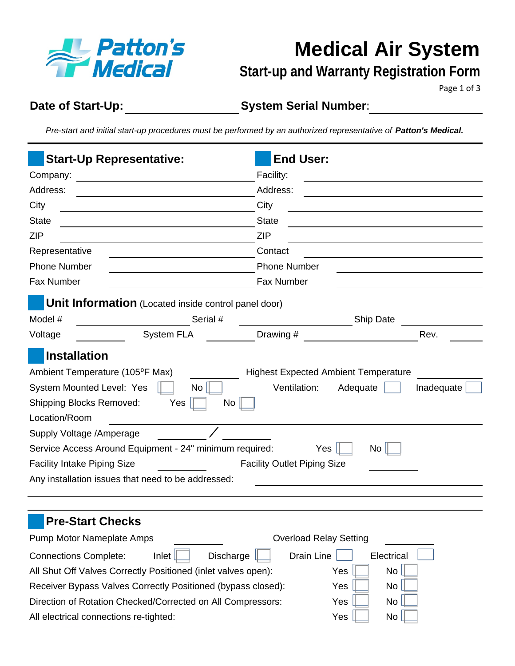

# **Medical Air System**

### **Start-up and Warranty Registration Form**

Page 1 of 3

**Date of Start-Up:**

**System Serial Number:**

*Pre-start and initial start-up procedures must be performed by an authorized representative of Patton's Medical.* 

| <b>Start-Up Representative:</b>                                                                                                                                                                                                                                                                                                                                           | <b>End User:</b>                                                                                                                         |  |  |  |  |
|---------------------------------------------------------------------------------------------------------------------------------------------------------------------------------------------------------------------------------------------------------------------------------------------------------------------------------------------------------------------------|------------------------------------------------------------------------------------------------------------------------------------------|--|--|--|--|
| Company:<br><u> 1980 - Jan Stein Harry Harry Harry Harry Harry Harry Harry Harry Harry Harry Harry Harry Harry Harry Harry</u>                                                                                                                                                                                                                                            | Facility:                                                                                                                                |  |  |  |  |
| Address:                                                                                                                                                                                                                                                                                                                                                                  | Address:                                                                                                                                 |  |  |  |  |
| City                                                                                                                                                                                                                                                                                                                                                                      | City                                                                                                                                     |  |  |  |  |
| <b>State</b>                                                                                                                                                                                                                                                                                                                                                              | <b>State</b>                                                                                                                             |  |  |  |  |
| <b>ZIP</b>                                                                                                                                                                                                                                                                                                                                                                | <b>ZIP</b>                                                                                                                               |  |  |  |  |
| Representative                                                                                                                                                                                                                                                                                                                                                            | Contact                                                                                                                                  |  |  |  |  |
| <b>Phone Number</b>                                                                                                                                                                                                                                                                                                                                                       | <b>Phone Number</b>                                                                                                                      |  |  |  |  |
| Fax Number                                                                                                                                                                                                                                                                                                                                                                | Fax Number                                                                                                                               |  |  |  |  |
| <b>Unit Information</b> (Located inside control panel door)                                                                                                                                                                                                                                                                                                               |                                                                                                                                          |  |  |  |  |
| Serial #<br>Model #                                                                                                                                                                                                                                                                                                                                                       | <b>Ship Date</b>                                                                                                                         |  |  |  |  |
| System FLA<br>Voltage                                                                                                                                                                                                                                                                                                                                                     | Drawing #<br>Rev.                                                                                                                        |  |  |  |  |
| <b>Installation</b><br>Ambient Temperature (105°F Max)<br>System Mounted Level: Yes<br>No <sub>1</sub><br><b>Shipping Blocks Removed:</b><br>Yes<br>$\overline{N}$ o<br>Location/Room<br>Supply Voltage / Amperage<br>Service Access Around Equipment - 24" minimum required:<br><b>Facility Intake Piping Size</b><br>Any installation issues that need to be addressed: | <b>Highest Expected Ambient Temperature</b><br>Ventilation:<br>Adequate<br>Inadequate<br>Yes<br>No<br><b>Facility Outlet Piping Size</b> |  |  |  |  |
| <b>Pre-Start Checks</b><br>Pump Motor Nameplate Amps<br>Discharge [<br><b>Connections Complete:</b><br>Inlet<br>All Shut Off Valves Correctly Positioned (inlet valves open):<br>Receiver Bypass Valves Correctly Positioned (bypass closed):<br>Direction of Rotation Checked/Corrected on All Compressors:                                                              | <b>Overload Relay Setting</b><br>Drain Line<br>Electrical<br>No<br>Yes<br>Yes<br>No<br>Yes<br>No                                         |  |  |  |  |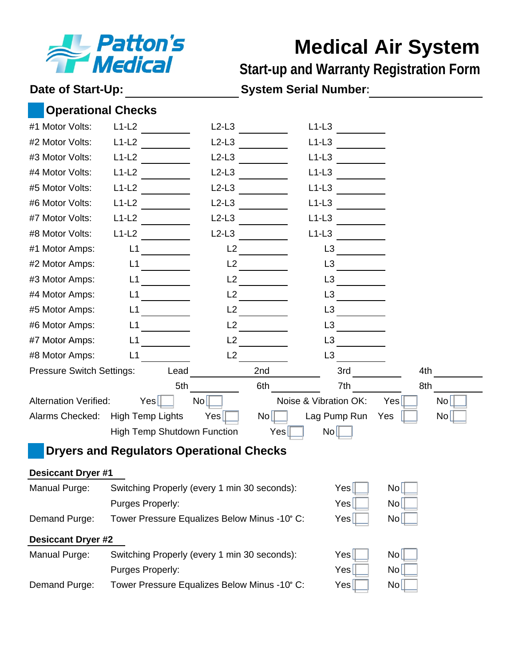

## **Medical Air System**

**Start-up and Warranty Registration Form**

Date of Start-Up: System Serial Number:

|                                                               |  | <b>Operational Checks</b>                                 |                |                  |                       |     |    |
|---------------------------------------------------------------|--|-----------------------------------------------------------|----------------|------------------|-----------------------|-----|----|
| #1 Motor Volts:                                               |  | $L1-L2$                                                   | $L2-L3$        |                  | $L1-L3$               |     |    |
| #2 Motor Volts:                                               |  | $L1-L2$                                                   | $L2-L3$        |                  | $L1-L3$               |     |    |
| #3 Motor Volts:                                               |  | $L1-L2$                                                   | $L2-L3$        |                  | $L1-L3$               |     |    |
| #4 Motor Volts:                                               |  | $L1-L2$                                                   | $L2-L3$        |                  | $L1-L3$               |     |    |
| #5 Motor Volts:                                               |  | $L1-L2$                                                   | $L2-L3$        |                  | $L1-L3$               |     |    |
| #6 Motor Volts:                                               |  | $L1-L2$                                                   | $L2-L3$        |                  | $L1-L3$               |     |    |
| #7 Motor Volts:                                               |  | $L1-L2$                                                   | $L2-L3$        |                  | $L1-L3$               |     |    |
| #8 Motor Volts:                                               |  | $L1-L2$                                                   | $L2-L3$        |                  | $L1-L3$               |     |    |
| #1 Motor Amps:                                                |  | L1                                                        | L2             |                  | L3                    |     |    |
| #2 Motor Amps:                                                |  | L1                                                        | L2             |                  | L <sub>3</sub>        |     |    |
| #3 Motor Amps:                                                |  | L1                                                        | L2             |                  | L3                    |     |    |
| #4 Motor Amps:                                                |  | L1                                                        | L2             |                  | L <sub>3</sub>        |     |    |
| #5 Motor Amps:                                                |  | L <sub>1</sub>                                            | L2             |                  | L3                    |     |    |
| #6 Motor Amps:                                                |  | L1                                                        | L2             |                  | L <sub>3</sub>        |     |    |
| #7 Motor Amps:                                                |  | L1                                                        | L <sub>2</sub> |                  | L <sub>3</sub>        |     |    |
| #8 Motor Amps:                                                |  | L1                                                        | L2             |                  | L3                    |     |    |
| 3rd<br><b>Pressure Switch Settings:</b><br>4th<br>Lead<br>2nd |  |                                                           |                |                  |                       |     |    |
|                                                               |  | 5th                                                       |                | 6th              | 7th                   | 8th |    |
| <b>Alternation Verified:</b>                                  |  | Yes                                                       | $\mathsf{No}$  |                  | Noise & Vibration OK: | Yes | No |
| Alarms Checked:                                               |  | <b>High Temp Lights</b>                                   | Yes            | N <sub>o</sub>   | Lag Pump Run          | Yes | No |
|                                                               |  | <b>High Temp Shutdown Function</b>                        |                | Yes <sub>l</sub> | $\overline{N_0}$      |     |    |
| <b>Dryers and Regulators Operational Checks</b>               |  |                                                           |                |                  |                       |     |    |
| <b>Desiccant Dryer #1</b>                                     |  |                                                           |                |                  |                       |     |    |
| Manual Purge:                                                 |  | Switching Properly (every 1 min 30 seconds):              |                |                  | Yes                   | No  |    |
|                                                               |  | Purges Properly:                                          |                |                  | Yes                   | No  |    |
| Demand Purge:                                                 |  | Tower Pressure Equalizes Below Minus -10° C:<br>No<br>Yes |                |                  |                       |     |    |
| <b>Desiccant Dryer #2</b>                                     |  |                                                           |                |                  |                       |     |    |
| Manual Purge:                                                 |  | Switching Properly (every 1 min 30 seconds):              |                |                  | Yes                   | No  |    |
|                                                               |  | Purges Properly:                                          |                |                  | Yes                   | No  |    |
| Demand Purge:                                                 |  | Tower Pressure Equalizes Below Minus -10° C:              |                |                  | Yes                   | No  |    |